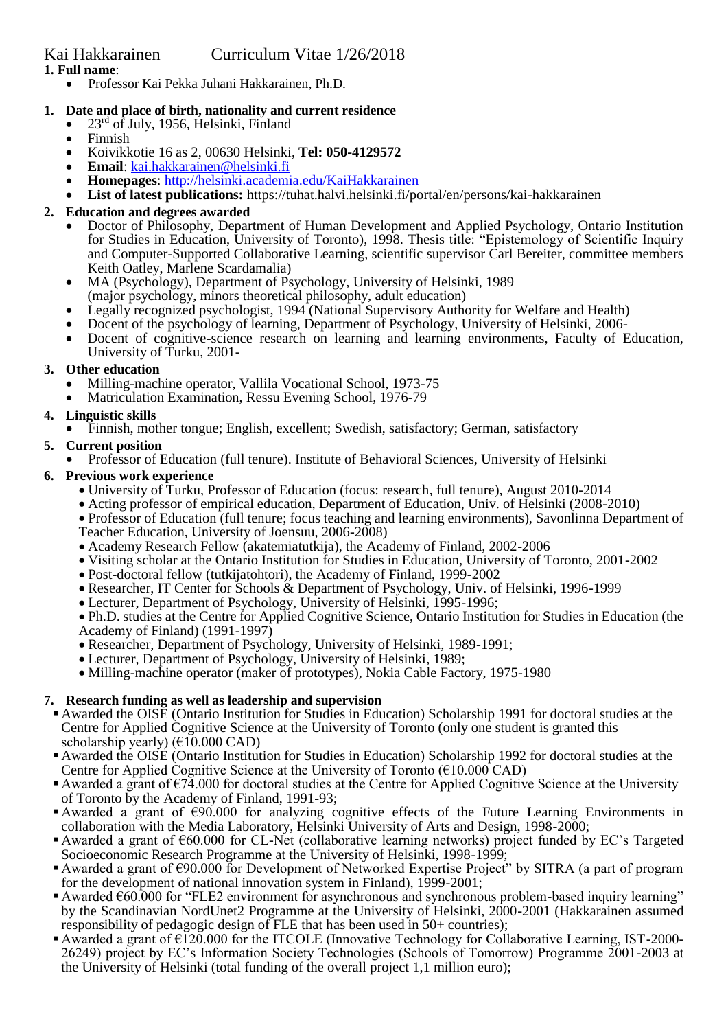• Professor Kai Pekka Juhani Hakkarainen, Ph.D.

## **1. Date and place of birth, nationality and current residence**

- 23<sup>rd</sup> of July, 1956, Helsinki, Finland
- Finnish
- Koivikkotie 16 as 2, 00630 Helsinki, **Tel: 050-4129572**
- **Email**: [kai.hakkarainen@helsinki.fi](mailto:kai.hakkarainen@helsinki.fi)
- **Homepages**:<http://helsinki.academia.edu/KaiHakkarainen>
- **List of latest publications:** https://tuhat.halvi.helsinki.fi/portal/en/persons/kai-hakkarainen

## **2. Education and degrees awarded**

- Doctor of Philosophy, Department of Human Development and Applied Psychology, Ontario Institution for Studies in Education, University of Toronto), 1998. Thesis title: "Epistemology of Scientific Inquiry and Computer-Supported Collaborative Learning, scientific supervisor Carl Bereiter, committee members Keith Oatley, Marlene Scardamalia)
- MA (Psychology), Department of Psychology, University of Helsinki, 1989 (major psychology, minors theoretical philosophy, adult education)
- Legally recognized psychologist, 1994 (National Supervisory Authority for Welfare and Health)
- Docent of the psychology of learning, Department of Psychology, University of Helsinki, 2006-
- Docent of cognitive-science research on learning and learning environments, Faculty of Education, University of Turku, 2001-

## **3. Other education**

- Milling-machine operator, Vallila Vocational School, 1973-75
- Matriculation Examination, Ressu Evening School, 1976-79

## **4. Linguistic skills**

• Finnish, mother tongue; English, excellent; Swedish, satisfactory; German, satisfactory

## **5. Current position**

• Professor of Education (full tenure). Institute of Behavioral Sciences, University of Helsinki

## **6. Previous work experience**

- University of Turku, Professor of Education (focus: research, full tenure), August 2010-2014
- Acting professor of empirical education, Department of Education, Univ. of Helsinki (2008-2010)
- Professor of Education (full tenure; focus teaching and learning environments), Savonlinna Department of Teacher Education, University of Joensuu, 2006-2008)
- Academy Research Fellow (akatemiatutkija), the Academy of Finland, 2002-2006
- Visiting scholar at the Ontario Institution for Studies in Education, University of Toronto, 2001-2002
- Post-doctoral fellow (tutkijatohtori), the Academy of Finland, 1999-2002
- Researcher, IT Center for Schools & Department of Psychology, Univ. of Helsinki, 1996-1999
- Lecturer, Department of Psychology, University of Helsinki, 1995-1996;

• Ph.D. studies at the Centre for Applied Cognitive Science, Ontario Institution for Studies in Education (the Academy of Finland) (1991-1997)

- Researcher, Department of Psychology, University of Helsinki, 1989-1991;
- Lecturer, Department of Psychology, University of Helsinki, 1989;
- Milling-machine operator (maker of prototypes), Nokia Cable Factory, 1975-1980

## **7. Research funding as well as leadership and supervision**

- Awarded the OISE (Ontario Institution for Studies in Education) Scholarship 1991 for doctoral studies at the Centre for Applied Cognitive Science at the University of Toronto (only one student is granted this scholarship yearly) ( $\epsilon$ 10.000 CAD)
- Awarded the OISE (Ontario Institution for Studies in Education) Scholarship 1992 for doctoral studies at the Centre for Applied Cognitive Science at the University of Toronto ( $\epsilon$ 10.000 CAD)
- Awarded a grant of  $\epsilon$ 74.000 for doctoral studies at the Centre for Applied Cognitive Science at the University of Toronto by the Academy of Finland, 1991-93;
- Awarded a grant of €90.000 for analyzing cognitive effects of the Future Learning Environments in collaboration with the Media Laboratory, Helsinki University of Arts and Design, 1998-2000;
- Awarded a grant of  $€60.000$  for CL-Net (collaborative learning networks) project funded by EC's Targeted Socioeconomic Research Programme at the University of Helsinki, 1998-1999;
- Awarded a grant of €90.000 for Development of Networked Expertise Project" by SITRA (a part of program for the development of national innovation system in Finland), 1999-2001;
- Awarded €60.000 for "FLE2 environment for asynchronous and synchronous problem-based inquiry learning" by the Scandinavian NordUnet2 Programme at the University of Helsinki, 2000-2001 (Hakkarainen assumed responsibility of pedagogic design of FLE that has been used in 50+ countries);
- Awarded a grant of  $\epsilon$ 120.000 for the ITCOLE (Innovative Technology for Collaborative Learning, IST-2000-26249) project by EC's Information Society Technologies (Schools of Tomorrow) Programme 2001-2003 at the University of Helsinki (total funding of the overall project 1,1 million euro);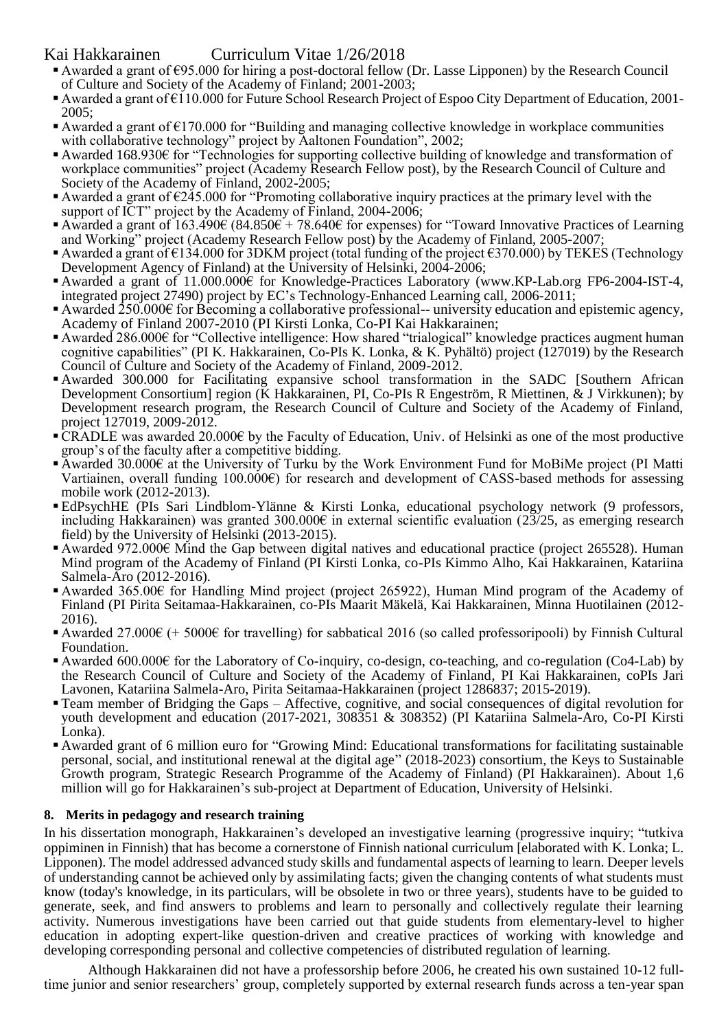# Kai Hakkarainen Curriculum Vitae 1/26/2018

- Awarded a grant of €95.000 for hiring a post-doctoral fellow (Dr. Lasse Lipponen) by the Research Council of Culture and Society of the Academy of Finland; 2001-2003;
- Awarded a grant of €110.000 for Future School Research Project of Espoo City Department of Education, 2001- 2005;
- **Example 4** Awarded a grant of  $\epsilon$ 170.000 for "Building and managing collective knowledge in workplace communities with collaborative technology" project by Aaltonen Foundation", 2002;
- Awarded 168.930€ for "Technologies for supporting collective building of knowledge and transformation of workplace communities" project (Academy Research Fellow post), by the Research Council of Culture and Society of the Academy of Finland, 2002-2005;
- Awarded a grant of  $\epsilon$ 245.000 for "Promoting collaborative inquiry practices at the primary level with the support of ICT" project by the Academy of Finland, 2004-2006;
- Awarded a grant of 163.490€ (84.850€ + 78.640€ for expenses) for "Toward Innovative Practices of Learning and Working" project (Academy Research Fellow post) by the Academy of Finland, 2005-2007;
- Awarded a grant of €134.000 for 3DKM project (total funding of the project €370.000) by TEKES (Technology Development Agency of Finland) at the University of Helsinki, 2004-2006;
- Awarded a grant of 11.000.000€ for Knowledge-Practices Laboratory (www.KP-Lab.org FP6-2004-IST-4, integrated project 27490) project by EC's Technology-Enhanced Learning call, 2006-2011;
- Awarded  $250.000\text{€}$  for Becoming a collaborative professional-- university education and epistemic agency, Academy of Finland 2007-2010 (PI Kirsti Lonka, Co-PI Kai Hakkarainen;
- Awarded 286.000€ for "Collective intelligence: How shared "trialogical" knowledge practices augment human cognitive capabilities" (PI K. Hakkarainen, Co-PIs K. Lonka, & K. Pyhältö) project (127019) by the Research Council of Culture and Society of the Academy of Finland, 2009-2012.
- Awarded 300.000 for Facilitating expansive school transformation in the SADC [Southern African Development Consortium] region (K Hakkarainen, PI, Co-PIs R Engeström, R Miettinen, & J Virkkunen); by Development research program, the Research Council of Culture and Society of the Academy of Finland, project 127019, 2009-2012.
- ▪CRADLE was awarded 20.000€ by the Faculty of Education, Univ. of Helsinki as one of the most productive group's of the faculty after a competitive bidding.
- Awarded 30.000€ at the University of Turku by the Work Environment Fund for MoBiMe project (PI Matti Vartiainen, overall funding 100.000€) for research and development of CASS-based methods for assessing mobile work (2012-2013).
- EdPsychHE (PIs Sari Lindblom-Ylänne & Kirsti Lonka, educational psychology network (9 professors, including Hakkarainen) was granted 300.000€ in external scientific evaluation  $(2\overline{3}/25)$ , as emerging research field) by the University of Helsinki (2013-2015).
- Awarded 972.000€ Mind the Gap between digital natives and educational practice (project 265528). Human Mind program of the Academy of Finland (PI Kirsti Lonka, co-PIs Kimmo Alho, Kai Hakkarainen, Katariina Salmela-Aro (2012-2016).
- Awarded 365.00€ for Handling Mind project (project 265922), Human Mind program of the Academy of Finland (PI Pirita Seitamaa-Hakkarainen, co-PIs Maarit Mäkelä, Kai Hakkarainen, Minna Huotilainen (2012- 2016).
- Awarded 27.000€ (+ 5000€ for travelling) for sabbatical 2016 (so called professoripooli) by Finnish Cultural Foundation.
- Awarded 600.000€ for the Laboratory of Co-inquiry, co-design, co-teaching, and co-regulation (Co4-Lab) by the Research Council of Culture and Society of the Academy of Finland, PI Kai Hakkarainen, coPIs Jari Lavonen, Katariina Salmela-Aro, Pirita Seitamaa-Hakkarainen (project 1286837; 2015-2019).
- Team member of Bridging the Gaps Affective, cognitive, and social consequences of digital revolution for youth development and education (2017-2021, 308351 & 308352) (PI Katariina Salmela-Aro, Co-PI Kirsti Lonka).
- Awarded grant of 6 million euro for "Growing Mind: Educational transformations for facilitating sustainable personal, social, and institutional renewal at the digital age" (2018-2023) consortium, the Keys to Sustainable Growth program, Strategic Research Programme of the Academy of Finland) (PI Hakkarainen). About 1,6 million will go for Hakkarainen's sub-project at Department of Education, University of Helsinki.

## **8. Merits in pedagogy and research training**

In his dissertation monograph, Hakkarainen's developed an investigative learning (progressive inquiry; "tutkiva oppiminen in Finnish) that has become a cornerstone of Finnish national curriculum [elaborated with K. Lonka; L. Lipponen). The model addressed advanced study skills and fundamental aspects of learning to learn. Deeper levels of understanding cannot be achieved only by assimilating facts; given the changing contents of what students must know (today's knowledge, in its particulars, will be obsolete in two or three years), students have to be guided to generate, seek, and find answers to problems and learn to personally and collectively regulate their learning activity. Numerous investigations have been carried out that guide students from elementary-level to higher education in adopting expert-like question-driven and creative practices of working with knowledge and developing corresponding personal and collective competencies of distributed regulation of learning.

Although Hakkarainen did not have a professorship before 2006, he created his own sustained 10-12 fulltime junior and senior researchers' group, completely supported by external research funds across a ten-year span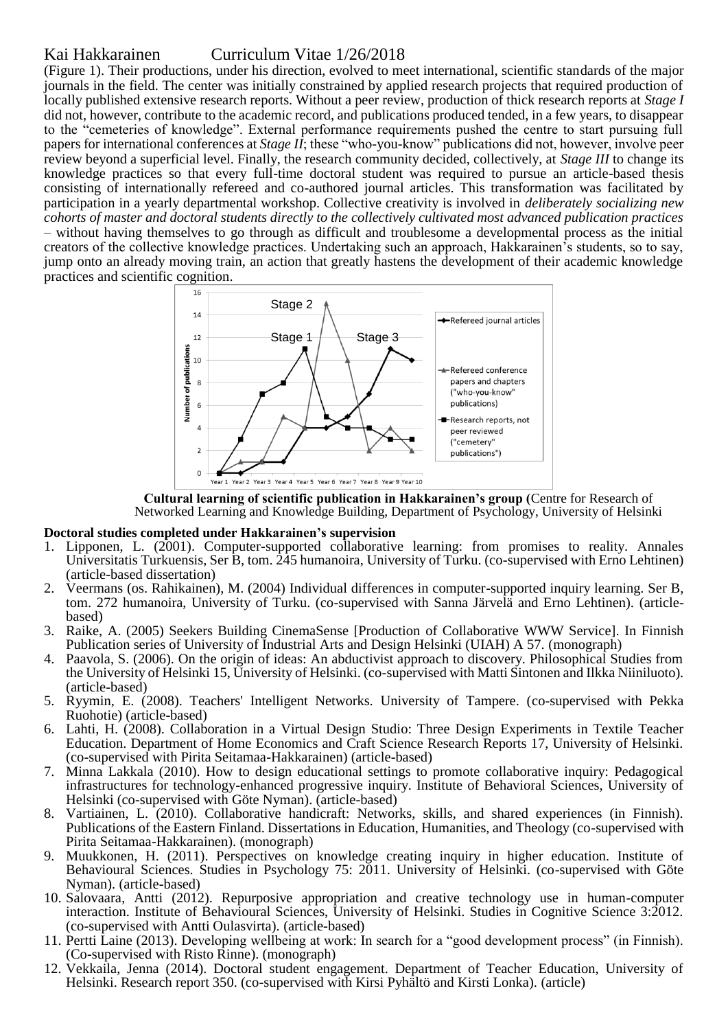# Kai Hakkarainen Curriculum Vitae 1/26/2018

(Figure 1). Their productions, under his direction, evolved to meet international, scientific standards of the major journals in the field. The center was initially constrained by applied research projects that required production of locally published extensive research reports. Without a peer review, production of thick research reports at *Stage I* did not, however, contribute to the academic record, and publications produced tended, in a few years, to disappear to the "cemeteries of knowledge". External performance requirements pushed the centre to start pursuing full papers for international conferences at *Stage II*; these "who-you-know" publications did not, however, involve peer review beyond a superficial level. Finally, the research community decided, collectively, at *Stage III* to change its knowledge practices so that every full-time doctoral student was required to pursue an article-based thesis consisting of internationally refereed and co-authored journal articles. This transformation was facilitated by participation in a yearly departmental workshop. Collective creativity is involved in *deliberately socializing new cohorts of master and doctoral students directly to the collectively cultivated most advanced publication practices*  – without having themselves to go through as difficult and troublesome a developmental process as the initial creators of the collective knowledge practices. Undertaking such an approach, Hakkarainen's students, so to say, jump onto an already moving train, an action that greatly hastens the development of their academic knowledge practices and scientific cognition.



**Cultural learning of scientific publication in Hakkarainen's group (**Centre for Research of Networked Learning and Knowledge Building, Department of Psychology, University of Helsinki

#### **Doctoral studies completed under Hakkarainen's supervision**

- 1. Lipponen, L. (2001). Computer-supported collaborative learning: from promises to reality. Annales Universitatis Turkuensis, Ser B, tom. 245 humanoira, University of Turku. (co-supervised with Erno Lehtinen) (article-based dissertation)
- 2. Veermans (os. Rahikainen), M. (2004) Individual differences in computer-supported inquiry learning. Ser B, tom. 272 humanoira, University of Turku. (co-supervised with Sanna Järvelä and Erno Lehtinen). (articlebased)
- 3. Raike, A. (2005) Seekers Building CinemaSense [Production of Collaborative WWW Service]. In Finnish Publication series of University of Industrial Arts and Design Helsinki (UIAH) A 57. (monograph)
- 4. Paavola, S. (2006). On the origin of ideas: An abductivist approach to discovery. Philosophical Studies from the University of Helsinki 15, University of Helsinki. (co-supervised with Matti Sintonen and Ilkka Niiniluoto). (article-based)
- 5. Ryymin, E. (2008). Teachers' Intelligent Networks. University of Tampere. (co-supervised with Pekka Ruohotie) (article-based)
- 6. Lahti, H. (2008). Collaboration in a Virtual Design Studio: Three Design Experiments in Textile Teacher Education. Department of Home Economics and Craft Science Research Reports 17, University of Helsinki. (co-supervised with Pirita Seitamaa-Hakkarainen) (article-based)
- 7. Minna Lakkala (2010). How to design educational settings to promote collaborative inquiry: Pedagogical infrastructures for technology-enhanced progressive inquiry. Institute of Behavioral Sciences, University of Helsinki (co-supervised with Göte Nyman). (article-based)
- 8. Vartiainen, L. (2010). Collaborative handicraft: Networks, skills, and shared experiences (in Finnish). Publications of the Eastern Finland. Dissertations in Education, Humanities, and Theology (co-supervised with Pirita Seitamaa-Hakkarainen). (monograph)
- 9. Muukkonen, H. (2011). Perspectives on knowledge creating inquiry in higher education. Institute of Behavioural Sciences. Studies in Psychology 75: 2011. University of Helsinki. (co-supervised with Göte Nyman). (article-based)
- 10. Salovaara, Antti (2012). Repurposive appropriation and creative technology use in human-computer interaction. Institute of Behavioural Sciences, University of Helsinki. Studies in Cognitive Science 3:2012. (co-supervised with Antti Oulasvirta). (article-based)
- 11. Pertti Laine (2013). Developing wellbeing at work: In search for a "good development process" (in Finnish). (Co-supervised with Risto Rinne). (monograph)
- 12. Vekkaila, Jenna (2014). Doctoral student engagement. Department of Teacher Education, University of Helsinki. Research report 350. (co-supervised with Kirsi Pyhältö and Kirsti Lonka). (article)